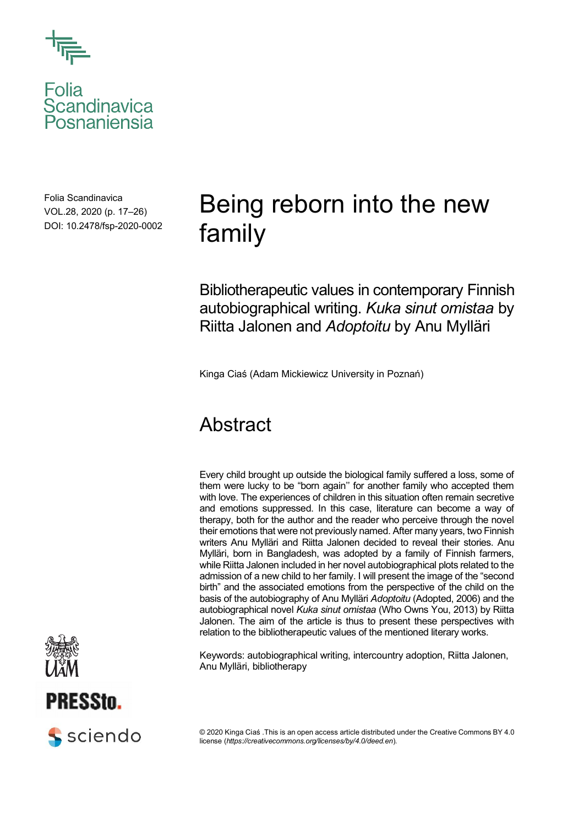

Folia<br>Scandinavica<br>Posnaniensia

Folia Scandinavica VOL.28, 2020 (p. 17–26) DOI: 10.2478/fsp-2020-0002

# Being reborn into the new family

Bibliotherapeutic values in contemporary Finnish autobiographical writing. *Kuka sinut omistaa* by Riitta Jalonen and *Adoptoitu* by Anu Mylläri

Kinga Ciaś (Adam Mickiewicz University in Poznań)

## **Abstract**

Every child brought up outside the biological family suffered a loss, some of them were lucky to be "born again'' for another family who accepted them with love. The experiences of children in this situation often remain secretive and emotions suppressed. In this case, literature can become a way of therapy, both for the author and the reader who perceive through the novel their emotions that were not previously named. After many years, two Finnish writers Anu Mylläri and Riitta Jalonen decided to reveal their stories. Anu Mylläri, born in Bangladesh, was adopted by a family of Finnish farmers, while Riitta Jalonen included in her novel autobiographical plots related to the admission of a new child to her family. I will present the image of the "second birth" and the associated emotions from the perspective of the child on the basis of the autobiography of Anu Mylläri *Adoptoitu* (Adopted, 2006) and the autobiographical novel *Kuka sinut omistaa* (Who Owns You, 2013) by Riitta Jalonen. The aim of the article is thus to present these perspectives with relation to the bibliotherapeutic values of the mentioned literary works.

Keywords: autobiographical writing, intercountry adoption, Riitta Jalonen, Anu Mylläri, bibliotherapy







© 2020 Kinga Ciaś .This is an open access article distributed under the Creative Commons BY 4.0 license (*https://creativecommons.org/licenses/by/4.0/deed.en*).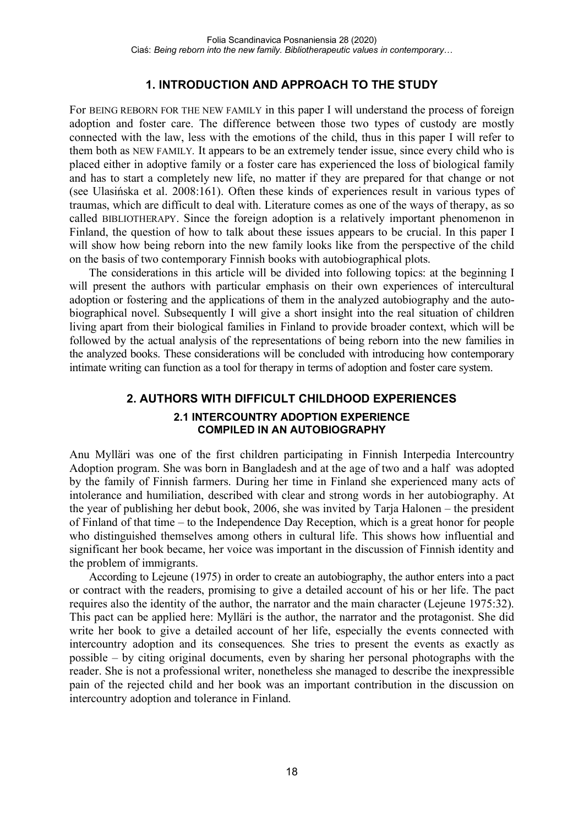### **1. INTRODUCTION AND APPROACH TO THE STUDY**

For BEING REBORN FOR THE NEW FAMILY in this paper I will understand the process of foreign adoption and foster care. The difference between those two types of custody are mostly connected with the law, less with the emotions of the child, thus in this paper I will refer to them both as NEW FAMILY*.* It appears to be an extremely tender issue, since every child who is placed either in adoptive family or a foster care has experienced the loss of biological family and has to start a completely new life, no matter if they are prepared for that change or not (see Ulasińska et al. 2008:161). Often these kinds of experiences result in various types of traumas, which are difficult to deal with. Literature comes as one of the ways of therapy, as so called BIBLIOTHERAPY. Since the foreign adoption is a relatively important phenomenon in Finland, the question of how to talk about these issues appears to be crucial. In this paper I will show how being reborn into the new family looks like from the perspective of the child on the basis of two contemporary Finnish books with autobiographical plots.

The considerations in this article will be divided into following topics: at the beginning I will present the authors with particular emphasis on their own experiences of intercultural adoption or fostering and the applications of them in the analyzed autobiography and the autobiographical novel. Subsequently I will give a short insight into the real situation of children living apart from their biological families in Finland to provide broader context, which will be followed by the actual analysis of the representations of being reborn into the new families in the analyzed books. These considerations will be concluded with introducing how contemporary intimate writing can function as a tool for therapy in terms of adoption and foster care system.

## **2. AUTHORS WITH DIFFICULT CHILDHOOD EXPERIENCES 2.1 INTERCOUNTRY ADOPTION EXPERIENCE COMPILED IN AN AUTOBIOGRAPHY**

Anu Mylläri was one of the first children participating in Finnish Interpedia Intercountry Adoption program. She was born in Bangladesh and at the age of two and a half was adopted by the family of Finnish farmers. During her time in Finland she experienced many acts of intolerance and humiliation, described with clear and strong words in her autobiography. At the year of publishing her debut book, 2006, she was invited by Tarja Halonen – the president of Finland of that time – to the Independence Day Reception, which is a great honor for people who distinguished themselves among others in cultural life. This shows how influential and significant her book became, her voice was important in the discussion of Finnish identity and the problem of immigrants.

According to Lejeune (1975) in order to create an autobiography, the author enters into a pact or contract with the readers, promising to give a detailed account of his or her life. The pact requires also the identity of the author, the narrator and the main character (Lejeune 1975:32). This pact can be applied here: Mylläri is the author, the narrator and the protagonist. She did write her book to give a detailed account of her life, especially the events connected with intercountry adoption and its consequences*.* She tries to present the events as exactly as possible – by citing original documents, even by sharing her personal photographs with the reader. She is not a professional writer, nonetheless she managed to describe the inexpressible pain of the rejected child and her book was an important contribution in the discussion on intercountry adoption and tolerance in Finland.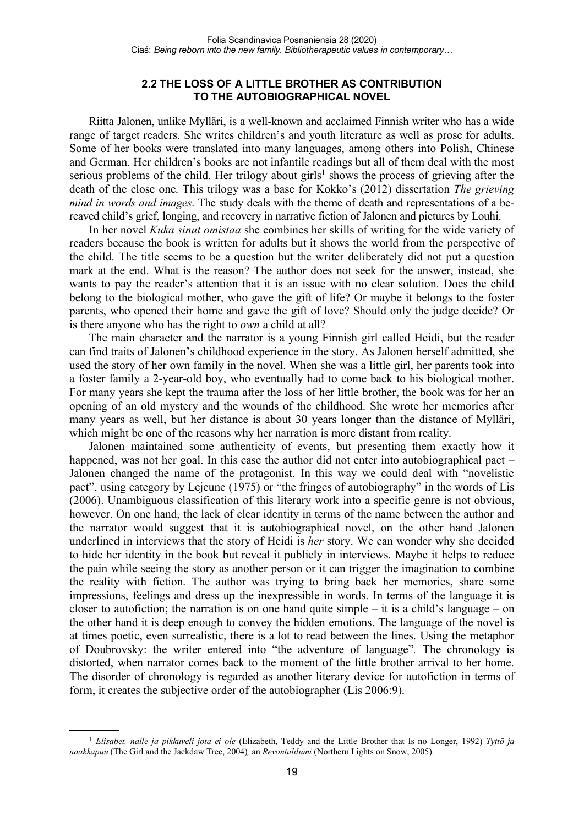#### **2.2 THE LOSS OF A LITTLE BROTHER AS CONTRIBUTION TO THE AUTOBIOGRAPHICAL NOVEL**

Riitta Jalonen, unlike Mylläri, is a well-known and acclaimed Finnish writer who has a wide range of target readers. She writes children's and youth literature as well as prose for adults. Some of her books were translated into many languages, among others into Polish, Chinese and German. Her children's books are not infantile readings but all of them deal with the most serious problems of the child. Her trilogy about girls<sup>1</sup> shows the process of grieving after the death of the close one. This trilogy was a base for Kokko's (2012) dissertation *The grieving mind in words and images*. The study deals with the theme of death and representations of a bereaved child's grief, longing, and recovery in narrative fiction of Jalonen and pictures by Louhi.

In her novel *Kuka sinut omistaa* she combines her skills of writing for the wide variety of readers because the book is written for adults but it shows the world from the perspective of the child. The title seems to be a question but the writer deliberately did not put a question mark at the end. What is the reason? The author does not seek for the answer, instead, she wants to pay the reader's attention that it is an issue with no clear solution. Does the child belong to the biological mother, who gave the gift of life? Or maybe it belongs to the foster parents, who opened their home and gave the gift of love? Should only the judge decide? Or is there anyone who has the right to *own* a child at all?

The main character and the narrator is a young Finnish girl called Heidi, but the reader can find traits of Jalonen's childhood experience in the story. As Jalonen herself admitted, she used the story of her own family in the novel. When she was a little girl, her parents took into a foster family a 2-year-old boy, who eventually had to come back to his biological mother. For many years she kept the trauma after the loss of her little brother, the book was for her an opening of an old mystery and the wounds of the childhood. She wrote her memories after many years as well, but her distance is about 30 years longer than the distance of Mylläri, which might be one of the reasons why her narration is more distant from reality.

Jalonen maintained some authenticity of events, but presenting them exactly how it happened, was not her goal. In this case the author did not enter into autobiographical pact – Jalonen changed the name of the protagonist. In this way we could deal with "novelistic pact", using category by Lejeune (1975) or "the fringes of autobiography" in the words of Lis (2006). Unambiguous classification of this literary work into a specific genre is not obvious, however. On one hand, the lack of clear identity in terms of the name between the author and the narrator would suggest that it is autobiographical novel, on the other hand Jalonen underlined in interviews that the story of Heidi is *her* story. We can wonder why she decided to hide her identity in the book but reveal it publicly in interviews. Maybe it helps to reduce the pain while seeing the story as another person or it can trigger the imagination to combine the reality with fiction. The author was trying to bring back her memories, share some impressions, feelings and dress up the inexpressible in words. In terms of the language it is closer to autofiction; the narration is on one hand quite simple – it is a child's language – on the other hand it is deep enough to convey the hidden emotions. The language of the novel is at times poetic, even surrealistic, there is a lot to read between the lines. Using the metaphor of Doubrovsky: the writer entered into "the adventure of language"*.* The chronology is distorted, when narrator comes back to the moment of the little brother arrival to her home. The disorder of chronology is regarded as another literary device for autofiction in terms of form, it creates the subjective order of the autobiographer (Lis 2006:9).

<sup>1</sup> *Elisabet, nalle ja pikkuveli jota ei ole* (Elizabeth, Teddy and the Little Brother that Is no Longer, 1992) *Tyttö ja naakkapuu* (The Girl and the Jackdaw Tree, 2004)*,* an *Revontulilumi* (Northern Lights on Snow, 2005).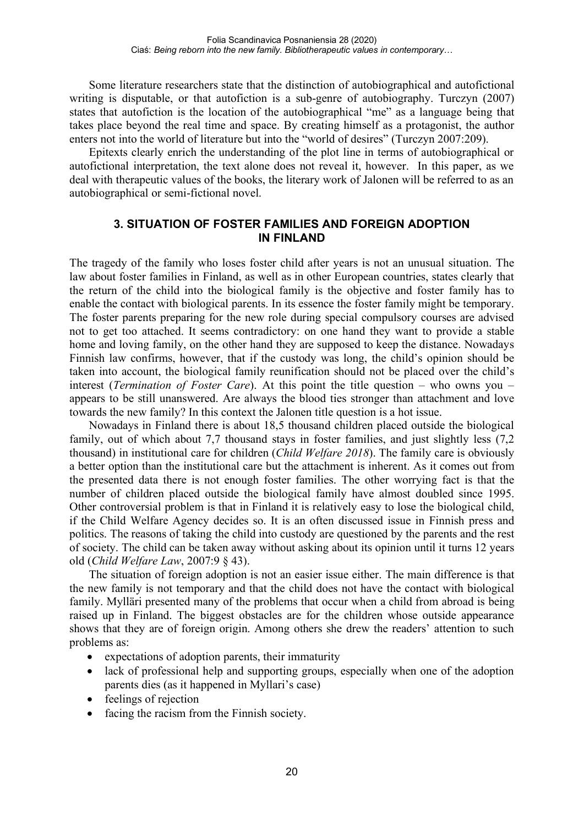Some literature researchers state that the distinction of autobiographical and autofictional writing is disputable, or that autofiction is a sub-genre of autobiography. Turczyn (2007) states that autofiction is the location of the autobiographical "me" as a language being that takes place beyond the real time and space. By creating himself as a protagonist, the author enters not into the world of literature but into the "world of desires" (Turczyn 2007:209).

Epitexts clearly enrich the understanding of the plot line in terms of autobiographical or autofictional interpretation, the text alone does not reveal it, however. In this paper, as we deal with therapeutic values of the books, the literary work of Jalonen will be referred to as an autobiographical or semi-fictional novel.

#### **3. SITUATION OF FOSTER FAMILIES AND FOREIGN ADOPTION IN FINLAND**

The tragedy of the family who loses foster child after years is not an unusual situation. The law about foster families in Finland, as well as in other European countries, states clearly that the return of the child into the biological family is the objective and foster family has to enable the contact with biological parents. In its essence the foster family might be temporary. The foster parents preparing for the new role during special compulsory courses are advised not to get too attached. It seems contradictory: on one hand they want to provide a stable home and loving family, on the other hand they are supposed to keep the distance. Nowadays Finnish law confirms, however, that if the custody was long, the child's opinion should be taken into account, the biological family reunification should not be placed over the child's interest (*Termination of Foster Care*). At this point the title question – who owns you – appears to be still unanswered. Are always the blood ties stronger than attachment and love towards the new family? In this context the Jalonen title question is a hot issue.

Nowadays in Finland there is about 18,5 thousand children placed outside the biological family, out of which about 7,7 thousand stays in foster families, and just slightly less (7,2 thousand) in institutional care for children (*Child Welfare 2018*). The family care is obviously a better option than the institutional care but the attachment is inherent. As it comes out from the presented data there is not enough foster families. The other worrying fact is that the number of children placed outside the biological family have almost doubled since 1995. Other controversial problem is that in Finland it is relatively easy to lose the biological child, if the Child Welfare Agency decides so. It is an often discussed issue in Finnish press and politics. The reasons of taking the child into custody are questioned by the parents and the rest of society. The child can be taken away without asking about its opinion until it turns 12 years old (*Child Welfare Law*, 2007:9 § 43).

The situation of foreign adoption is not an easier issue either. The main difference is that the new family is not temporary and that the child does not have the contact with biological family. Mylläri presented many of the problems that occur when a child from abroad is being raised up in Finland. The biggest obstacles are for the children whose outside appearance shows that they are of foreign origin. Among others she drew the readers' attention to such problems as:

- expectations of adoption parents, their immaturity
- lack of professional help and supporting groups, especially when one of the adoption parents dies (as it happened in Myllari's case)
- feelings of rejection
- facing the racism from the Finnish society.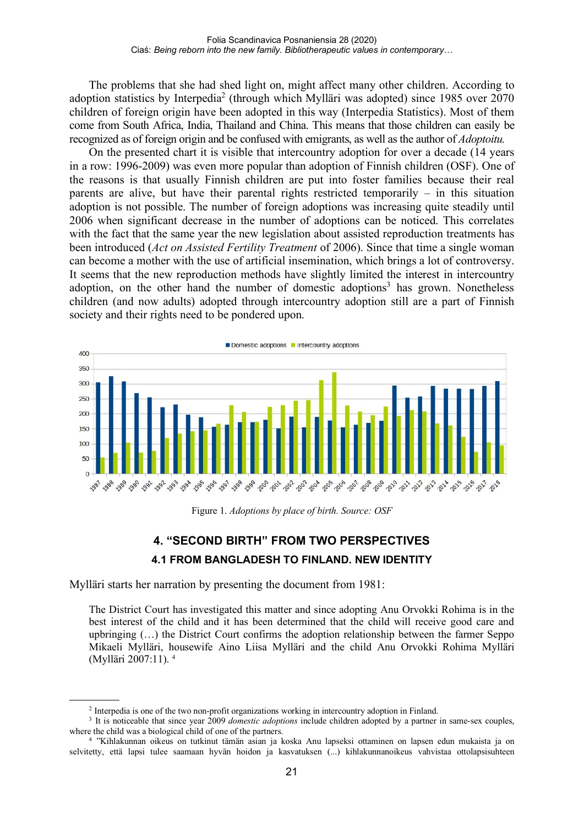The problems that she had shed light on, might affect many other children. According to adoption statistics by Interpedia<sup>2</sup> (through which Mylläri was adopted) since 1985 over 2070 children of foreign origin have been adopted in this way (Interpedia Statistics). Most of them come from South Africa, India, Thailand and China. This means that those children can easily be recognized as of foreign origin and be confused with emigrants, as well asthe author of *Adoptoitu.*

On the presented chart it is visible that intercountry adoption for over a decade (14 years in a row: 1996-2009) was even more popular than adoption of Finnish children (OSF). One of the reasons is that usually Finnish children are put into foster families because their real parents are alive, but have their parental rights restricted temporarily – in this situation adoption is not possible. The number of foreign adoptions was increasing quite steadily until 2006 when significant decrease in the number of adoptions can be noticed. This correlates with the fact that the same year the new legislation about assisted reproduction treatments has been introduced (*Act on Assisted Fertility Treatment* of 2006). Since that time a single woman can become a mother with the use of artificial insemination, which brings a lot of controversy. It seems that the new reproduction methods have slightly limited the interest in intercountry adoption, on the other hand the number of domestic adoptions<sup>3</sup> has grown. Nonetheless children (and now adults) adopted through intercountry adoption still are a part of Finnish society and their rights need to be pondered upon.



Figure 1. *Adoptions by place of birth. Source: OSF*

## **4. "SECOND BIRTH" FROM TWO PERSPECTIVES 4.1 FROM BANGLADESH TO FINLAND. NEW IDENTITY**

Mylläri starts her narration by presenting the document from 1981:

The District Court has investigated this matter and since adopting Anu Orvokki Rohima is in the best interest of the child and it has been determined that the child will receive good care and upbringing (…) the District Court confirms the adoption relationship between the farmer Seppo Mikaeli Mylläri, housewife Aino Liisa Mylläri and the child Anu Orvokki Rohima Mylläri (Mylläri 2007:11). <sup>4</sup>

<sup>2</sup> Interpedia is one of the two non-profit organizations working in intercountry adoption in Finland.

<sup>3</sup> It is noticeable that since year 2009 *domestic adoptions* include children adopted by a partner in same-sex couples, where the child was a biological child of one of the partners.

<sup>4</sup> "Kihlakunnan oikeus on tutkinut tämän asian ja koska Anu lapseksi ottaminen on lapsen edun mukaista ja on selvitetty, että lapsi tulee saamaan hyvän hoidon ja kasvatuksen (...) kihlakunnanoikeus vahvistaa ottolapsisuhteen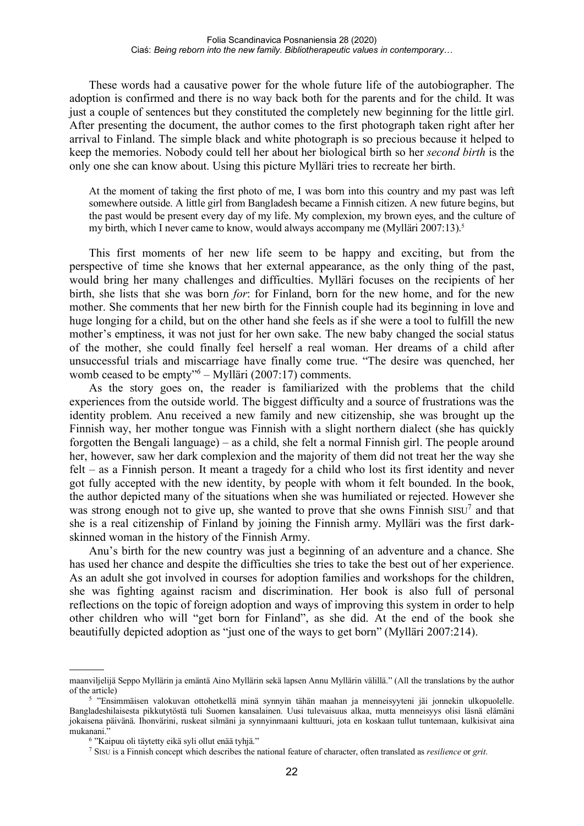These words had a causative power for the whole future life of the autobiographer. The adoption is confirmed and there is no way back both for the parents and for the child. It was just a couple of sentences but they constituted the completely new beginning for the little girl. After presenting the document, the author comes to the first photograph taken right after her arrival to Finland. The simple black and white photograph is so precious because it helped to keep the memories. Nobody could tell her about her biological birth so her *second birth* is the only one she can know about. Using this picture Mylläri tries to recreate her birth.

At the moment of taking the first photo of me, I was born into this country and my past was left somewhere outside. A little girl from Bangladesh became a Finnish citizen. A new future begins, but the past would be present every day of my life. My complexion, my brown eyes, and the culture of my birth, which I never came to know, would always accompany me  $(Mylllari 2007:13)^5$ 

This first moments of her new life seem to be happy and exciting, but from the perspective of time she knows that her external appearance, as the only thing of the past, would bring her many challenges and difficulties. Mylläri focuses on the recipients of her birth, she lists that she was born *for*: for Finland, born for the new home, and for the new mother. She comments that her new birth for the Finnish couple had its beginning in love and huge longing for a child, but on the other hand she feels as if she were a tool to fulfill the new mother's emptiness, it was not just for her own sake. The new baby changed the social status of the mother, she could finally feel herself a real woman. Her dreams of a child after unsuccessful trials and miscarriage have finally come true. "The desire was quenched, her womb ceased to be empty"*<sup>6</sup> –* Mylläri (2007:17) comments.

As the story goes on, the reader is familiarized with the problems that the child experiences from the outside world. The biggest difficulty and a source of frustrations was the identity problem. Anu received a new family and new citizenship, she was brought up the Finnish way, her mother tongue was Finnish with a slight northern dialect (she has quickly forgotten the Bengali language) – as a child, she felt a normal Finnish girl. The people around her, however, saw her dark complexion and the majority of them did not treat her the way she felt – as a Finnish person. It meant a tragedy for a child who lost its first identity and never got fully accepted with the new identity, by people with whom it felt bounded. In the book, the author depicted many of the situations when she was humiliated or rejected. However she was strong enough not to give up, she wanted to prove that she owns Finnish  $SISU<sup>7</sup>$  and that she is a real citizenship of Finland by joining the Finnish army. Mylläri was the first darkskinned woman in the history of the Finnish Army.

Anu's birth for the new country was just a beginning of an adventure and a chance. She has used her chance and despite the difficulties she tries to take the best out of her experience. As an adult she got involved in courses for adoption families and workshops for the children, she was fighting against racism and discrimination. Her book is also full of personal reflections on the topic of foreign adoption and ways of improving this system in order to help other children who will "get born for Finland", as she did. At the end of the book she beautifully depicted adoption as "just one of the ways to get born" (Mylläri 2007:214).

maanviljelijä Seppo Myllärin ja emäntä Aino Myllärin sekä lapsen Annu Myllärin välillä." (All the translations by the author of the article)

<sup>5</sup> "Ensimmäisen valokuvan ottohetkellä minä synnyin tähän maahan ja menneisyyteni jäi jonnekin ulkopuolelle. Bangladeshilaisesta pikkutytöstä tuli Suomen kansalainen. Uusi tulevaisuus alkaa, mutta menneisyys olisi läsnä elämäni jokaisena päivänä. Ihonvärini, ruskeat silmäni ja synnyinmaani kulttuuri, jota en koskaan tullut tuntemaan, kulkisivat aina mukanani.'

<sup>6</sup> "Kaipuu oli täytetty eikä syli ollut enää tyhjä."

<sup>7</sup> SISU is a Finnish concept which describes the national feature of character, often translated as *resilience* or *grit*.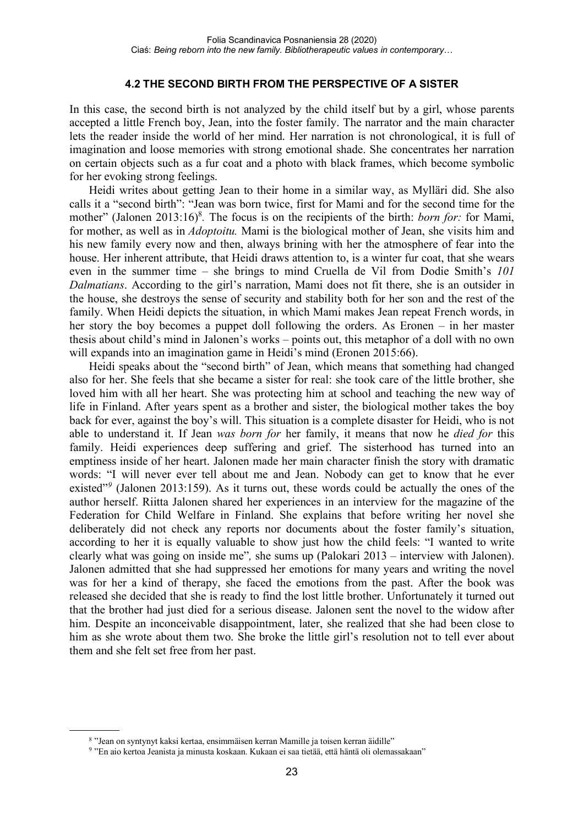#### **4.2 THE SECOND BIRTH FROM THE PERSPECTIVE OF A SISTER**

In this case, the second birth is not analyzed by the child itself but by a girl, whose parents accepted a little French boy, Jean, into the foster family. The narrator and the main character lets the reader inside the world of her mind. Her narration is not chronological, it is full of imagination and loose memories with strong emotional shade. She concentrates her narration on certain objects such as a fur coat and a photo with black frames, which become symbolic for her evoking strong feelings.

Heidi writes about getting Jean to their home in a similar way, as Mylläri did. She also calls it a "second birth": "Jean was born twice, first for Mami and for the second time for the mother" (Jalonen 2013:16)<sup>8</sup>. The focus is on the recipients of the birth: *born for*: for Mami, for mother, as well as in *Adoptoitu.* Mami is the biological mother of Jean, she visits him and his new family every now and then, always brining with her the atmosphere of fear into the house. Her inherent attribute, that Heidi draws attention to, is a winter fur coat, that she wears even in the summer time – she brings to mind Cruella de Vil from Dodie Smith's *101 Dalmatians*. According to the girl's narration, Mami does not fit there, she is an outsider in the house, she destroys the sense of security and stability both for her son and the rest of the family. When Heidi depicts the situation, in which Mami makes Jean repeat French words, in her story the boy becomes a puppet doll following the orders. As Eronen – in her master thesis about child's mind in Jalonen's works – points out, this metaphor of a doll with no own will expands into an imagination game in Heidi's mind (Eronen 2015:66).

Heidi speaks about the "second birth" of Jean, which means that something had changed also for her. She feels that she became a sister for real: she took care of the little brother, she loved him with all her heart. She was protecting him at school and teaching the new way of life in Finland. After years spent as a brother and sister, the biological mother takes the boy back for ever, against the boy's will. This situation is a complete disaster for Heidi, who is not able to understand it. If Jean *was born for* her family, it means that now he *died for* this family. Heidi experiences deep suffering and grief. The sisterhood has turned into an emptiness inside of her heart. Jalonen made her main character finish the story with dramatic words: "I will never ever tell about me and Jean. Nobody can get to know that he ever existed"<sup>9</sup> (Jalonen 2013:159). As it turns out, these words could be actually the ones of the author herself. Riitta Jalonen shared her experiences in an interview for the magazine of the Federation for Child Welfare in Finland. She explains that before writing her novel she deliberately did not check any reports nor documents about the foster family's situation, according to her it is equally valuable to show just how the child feels: "I wanted to write clearly what was going on inside me"*,* she sums up (Palokari 2013 – interview with Jalonen). Jalonen admitted that she had suppressed her emotions for many years and writing the novel was for her a kind of therapy, she faced the emotions from the past. After the book was released she decided that she is ready to find the lost little brother. Unfortunately it turned out that the brother had just died for a serious disease. Jalonen sent the novel to the widow after him. Despite an inconceivable disappointment, later, she realized that she had been close to him as she wrote about them two. She broke the little girl's resolution not to tell ever about them and she felt set free from her past.

<sup>8</sup> "Jean on syntynyt kaksi kertaa, ensimmäisen kerran Mamille ja toisen kerran äidille"

<sup>9</sup> "En aio kertoa Jeanista ja minusta koskaan. Kukaan ei saa tietää, että häntä oli olemassakaan"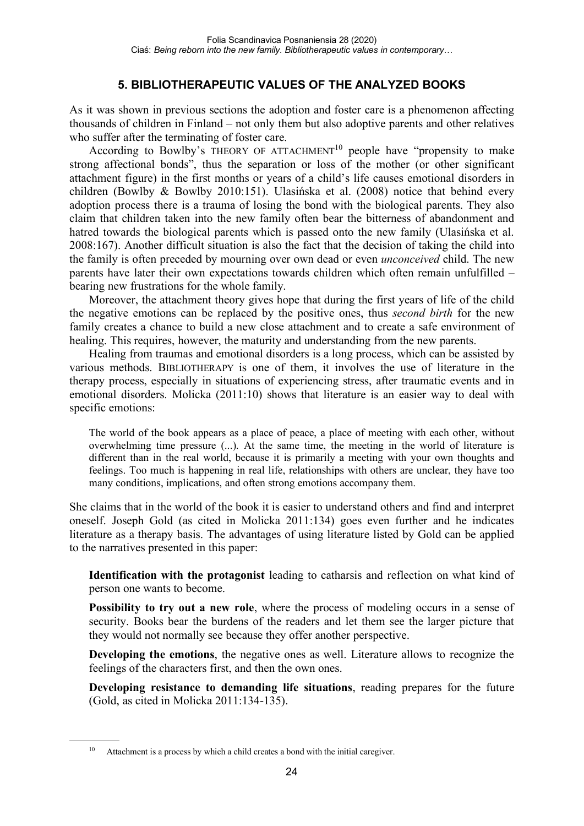## **5. BIBLIOTHERAPEUTIC VALUES OF THE ANALYZED BOOKS**

As it was shown in previous sections the adoption and foster care is a phenomenon affecting thousands of children in Finland – not only them but also adoptive parents and other relatives who suffer after the terminating of foster care.

According to Bowlby's THEORY OF ATTACHMENT<sup>10</sup> people have "propensity to make strong affectional bonds", thus the separation or loss of the mother (or other significant attachment figure) in the first months or years of a child's life causes emotional disorders in children (Bowlby & Bowlby 2010:151). Ulasińska et al. (2008) notice that behind every adoption process there is a trauma of losing the bond with the biological parents. They also claim that children taken into the new family often bear the bitterness of abandonment and hatred towards the biological parents which is passed onto the new family (Ulasińska et al. 2008:167). Another difficult situation is also the fact that the decision of taking the child into the family is often preceded by mourning over own dead or even *unconceived* child. The new parents have later their own expectations towards children which often remain unfulfilled – bearing new frustrations for the whole family.

Moreover, the attachment theory gives hope that during the first years of life of the child the negative emotions can be replaced by the positive ones, thus *second birth* for the new family creates a chance to build a new close attachment and to create a safe environment of healing. This requires, however, the maturity and understanding from the new parents.

Healing from traumas and emotional disorders is a long process, which can be assisted by various methods. BIBLIOTHERAPY is one of them, it involves the use of literature in the therapy process, especially in situations of experiencing stress, after traumatic events and in emotional disorders. Molicka (2011:10) shows that literature is an easier way to deal with specific emotions:

The world of the book appears as a place of peace, a place of meeting with each other, without overwhelming time pressure (...). At the same time, the meeting in the world of literature is different than in the real world, because it is primarily a meeting with your own thoughts and feelings. Too much is happening in real life, relationships with others are unclear, they have too many conditions, implications, and often strong emotions accompany them.

She claims that in the world of the book it is easier to understand others and find and interpret oneself. Joseph Gold (as cited in Molicka 2011:134) goes even further and he indicates literature as a therapy basis. The advantages of using literature listed by Gold can be applied to the narratives presented in this paper:

**Identification with the protagonist** leading to catharsis and reflection on what kind of person one wants to become.

**Possibility to try out a new role**, where the process of modeling occurs in a sense of security. Books bear the burdens of the readers and let them see the larger picture that they would not normally see because they offer another perspective.

**Developing the emotions**, the negative ones as well. Literature allows to recognize the feelings of the characters first, and then the own ones.

**Developing resistance to demanding life situations**, reading prepares for the future (Gold, as cited in Molicka 2011:134-135).

<sup>&</sup>lt;sup>10</sup> Attachment is a process by which a child creates a bond with the initial caregiver.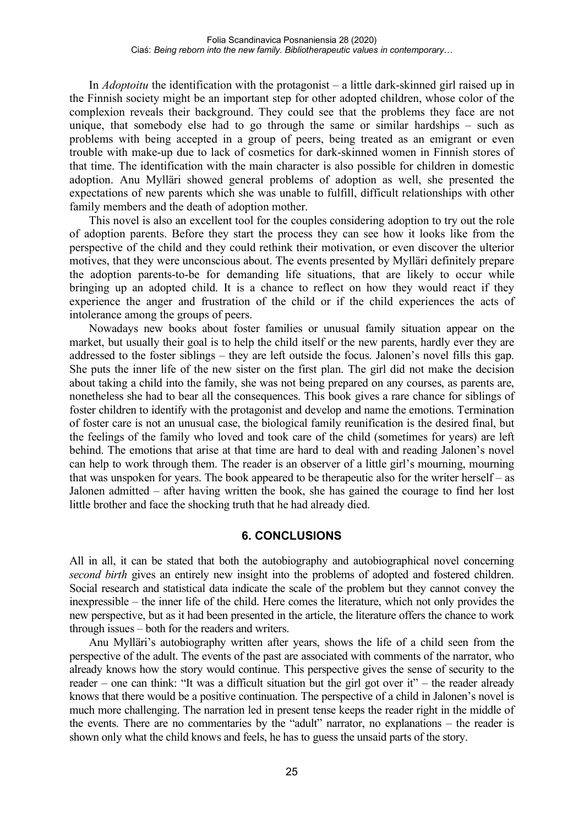In *Adoptoitu* the identification with the protagonist – a little dark-skinned girl raised up in the Finnish society might be an important step for other adopted children, whose color of the complexion reveals their background. They could see that the problems they face are not unique, that somebody else had to go through the same or similar hardships – such as problems with being accepted in a group of peers, being treated as an emigrant or even trouble with make-up due to lack of cosmetics for dark-skinned women in Finnish stores of that time. The identification with the main character is also possible for children in domestic adoption. Anu Mylläri showed general problems of adoption as well, she presented the expectations of new parents which she was unable to fulfill, difficult relationships with other family members and the death of adoption mother.

This novel is also an excellent tool for the couples considering adoption to try out the role of adoption parents. Before they start the process they can see how it looks like from the perspective of the child and they could rethink their motivation, or even discover the ulterior motives, that they were unconscious about. The events presented by Mylläri definitely prepare the adoption parents-to-be for demanding life situations, that are likely to occur while bringing up an adopted child. It is a chance to reflect on how they would react if they experience the anger and frustration of the child or if the child experiences the acts of intolerance among the groups of peers.

Nowadays new books about foster families or unusual family situation appear on the market, but usually their goal is to help the child itself or the new parents, hardly ever they are addressed to the foster siblings – they are left outside the focus. Jalonen's novel fills this gap. She puts the inner life of the new sister on the first plan. The girl did not make the decision about taking a child into the family, she was not being prepared on any courses, as parents are, nonetheless she had to bear all the consequences. This book gives a rare chance for siblings of foster children to identify with the protagonist and develop and name the emotions. Termination of foster care is not an unusual case, the biological family reunification is the desired final, but the feelings of the family who loved and took care of the child (sometimes for years) are left behind. The emotions that arise at that time are hard to deal with and reading Jalonen's novel can help to work through them. The reader is an observer of a little girl's mourning, mourning that was unspoken for years. The book appeared to be therapeutic also for the writer herself – as Jalonen admitted – after having written the book, she has gained the courage to find her lost little brother and face the shocking truth that he had already died.

#### **6. CONCLUSIONS**

All in all, it can be stated that both the autobiography and autobiographical novel concerning *second birth* gives an entirely new insight into the problems of adopted and fostered children. Social research and statistical data indicate the scale of the problem but they cannot convey the inexpressible – the inner life of the child. Here comes the literature, which not only provides the new perspective, but as it had been presented in the article, the literature offers the chance to work through issues – both for the readers and writers.

Anu Mylläri's autobiography written after years, shows the life of a child seen from the perspective of the adult. The events of the past are associated with comments of the narrator, who already knows how the story would continue. This perspective gives the sense of security to the reader – one can think: "It was a difficult situation but the girl got over it" – the reader already knows that there would be a positive continuation. The perspective of a child in Jalonen's novel is much more challenging. The narration led in present tense keeps the reader right in the middle of the events. There are no commentaries by the "adult" narrator, no explanations – the reader is shown only what the child knows and feels, he has to guess the unsaid parts of the story.